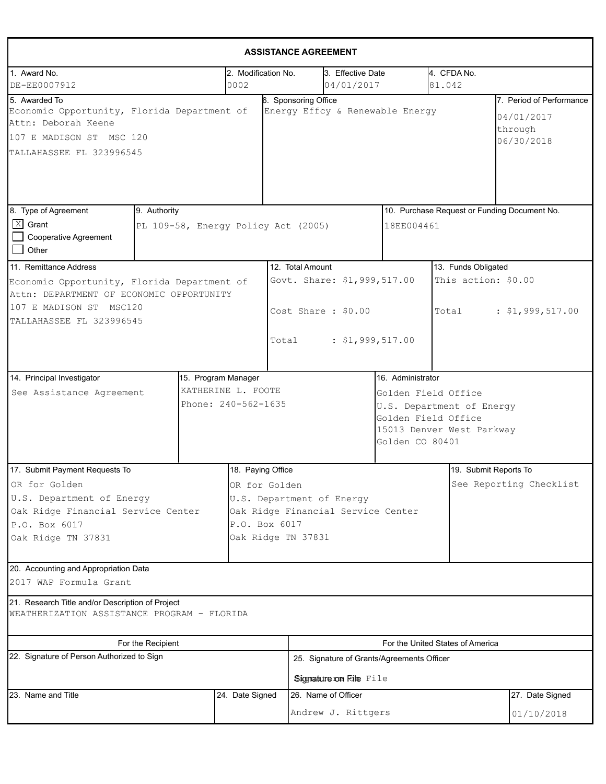|                                                                                                                                             |                   |                             |                                                                                                                         | <b>ASSISTANCE AGREEMENT</b>                                          |  |                                                                                                                                              |                                                                 |  |  |
|---------------------------------------------------------------------------------------------------------------------------------------------|-------------------|-----------------------------|-------------------------------------------------------------------------------------------------------------------------|----------------------------------------------------------------------|--|----------------------------------------------------------------------------------------------------------------------------------------------|-----------------------------------------------------------------|--|--|
| 1. Award No.<br>DE-EE0007912                                                                                                                |                   | 2. Modification No.<br>0002 |                                                                                                                         | 3. Effective Date<br>04/01/2017                                      |  | 4. CFDA No.<br>81.042                                                                                                                        |                                                                 |  |  |
| 5. Awarded To<br>Economic Opportunity, Florida Department of<br>Attn: Deborah Keene<br>107 E MADISON ST MSC 120<br>TALLAHASSEE FL 323996545 |                   |                             | 6. Sponsoring Office                                                                                                    | Energy Effcy & Renewable Energy                                      |  |                                                                                                                                              | 7. Period of Performance<br>04/01/2017<br>through<br>06/30/2018 |  |  |
| 8. Type of Agreement<br>9. Authority<br>$X$ Grant<br>Cooperative Agreement<br>$\Box$ Other                                                  |                   |                             | PL 109-58, Energy Policy Act (2005)                                                                                     |                                                                      |  | 10. Purchase Request or Funding Document No.<br>18EE004461                                                                                   |                                                                 |  |  |
| 11. Remittance Address<br>Economic Opportunity, Florida Department of                                                                       |                   |                             | 12. Total Amount                                                                                                        | Govt. Share: \$1,999,517.00                                          |  |                                                                                                                                              | 13. Funds Obligated<br>This action: \$0.00                      |  |  |
| Attn: DEPARTMENT OF ECONOMIC OPPORTUNITY<br>107 E MADISON ST MSC120<br>TALLAHASSEE FL 323996545                                             |                   |                             | Total                                                                                                                   | Cost Share: \$0.00<br>: \$1,999,517.00                               |  | Total                                                                                                                                        | : \$1,999,517.00                                                |  |  |
| 15. Program Manager<br>14. Principal Investigator<br>KATHERINE L. FOOTE<br>See Assistance Agreement<br>Phone: 240-562-1635                  |                   |                             |                                                                                                                         |                                                                      |  | 16. Administrator<br>Golden Field Office<br>U.S. Department of Energy<br>Golden Field Office<br>15013 Denver West Parkway<br>Golden CO 80401 |                                                                 |  |  |
| 17. Submit Payment Requests To                                                                                                              |                   | 18. Paying Office           |                                                                                                                         |                                                                      |  |                                                                                                                                              | 19. Submit Reports To                                           |  |  |
| OR for Golden<br>U.S. Department of Energy<br>Oak Ridge Financial Service Center<br>P.O. Box 6017<br>Oak Ridge TN 37831                     |                   |                             | OR for Golden<br>U.S. Department of Energy<br>Oak Ridge Financial Service Center<br>P.O. Box 6017<br>Oak Ridge TN 37831 |                                                                      |  |                                                                                                                                              | See Reporting Checklist                                         |  |  |
| 20. Accounting and Appropriation Data<br>2017 WAP Formula Grant                                                                             |                   |                             |                                                                                                                         |                                                                      |  |                                                                                                                                              |                                                                 |  |  |
| 21. Research Title and/or Description of Project<br>WEATHERIZATION ASSISTANCE PROGRAM - FLORIDA                                             |                   |                             |                                                                                                                         |                                                                      |  |                                                                                                                                              |                                                                 |  |  |
|                                                                                                                                             | For the Recipient |                             |                                                                                                                         |                                                                      |  | For the United States of America                                                                                                             |                                                                 |  |  |
| 22. Signature of Person Authorized to Sign                                                                                                  |                   |                             |                                                                                                                         | 25. Signature of Grants/Agreements Officer<br>Signature on File File |  |                                                                                                                                              |                                                                 |  |  |
| 23. Name and Title<br>24. Date Signed                                                                                                       |                   |                             |                                                                                                                         | 26. Name of Officer<br>Andrew J. Rittgers                            |  |                                                                                                                                              | 27. Date Signed<br>01/10/2018                                   |  |  |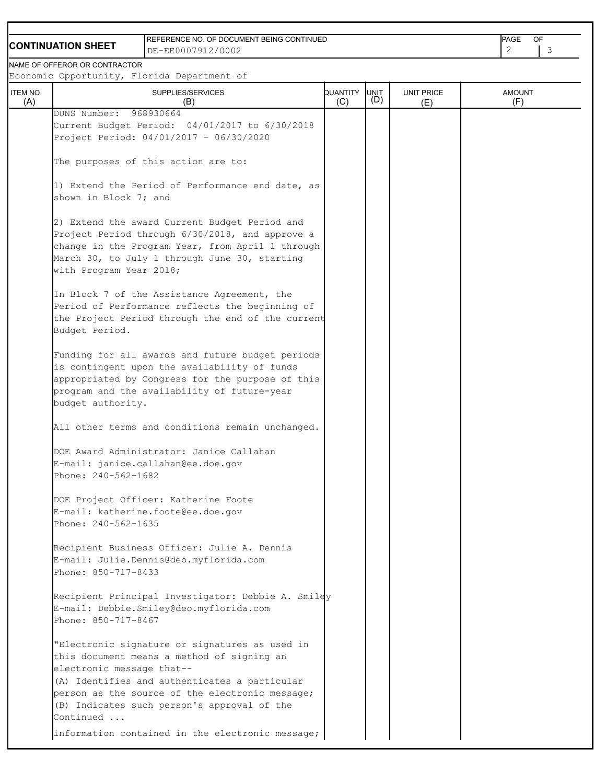## **CONTINUATION SHEET**

REFERENCE NO. OF DOCUMENT BEING CONTINUED DE-EE0007912/0002 2 3

PAGE OF

NAME OF OFFEROR OR CONTRACTOR

Economic Opportunity, Florida Department of

| ITEM NO.<br>(A) | $v$ p $v = v$ and $v$ $\uparrow$ $v = v$ and $v = v$ by $v = v$<br>SUPPLIES/SERVICES<br>(B)                                                                                                                                                                                               | QUANTITY<br>(C) | UNIT<br>(D) | <b>UNIT PRICE</b><br>(E) | <b>AMOUNT</b><br>(F) |
|-----------------|-------------------------------------------------------------------------------------------------------------------------------------------------------------------------------------------------------------------------------------------------------------------------------------------|-----------------|-------------|--------------------------|----------------------|
|                 | DUNS Number: 968930664<br>Current Budget Period: 04/01/2017 to 6/30/2018<br>Project Period: 04/01/2017 - 06/30/2020                                                                                                                                                                       |                 |             |                          |                      |
|                 | The purposes of this action are to:                                                                                                                                                                                                                                                       |                 |             |                          |                      |
|                 | 1) Extend the Period of Performance end date, as<br>shown in Block 7; and                                                                                                                                                                                                                 |                 |             |                          |                      |
|                 | 2) Extend the award Current Budget Period and<br>Project Period through 6/30/2018, and approve a<br>change in the Program Year, from April 1 through<br>March 30, to July 1 through June 30, starting<br>with Program Year 2018;                                                          |                 |             |                          |                      |
|                 | In Block 7 of the Assistance Agreement, the<br>Period of Performance reflects the beginning of<br>the Project Period through the end of the current<br>Budget Period.                                                                                                                     |                 |             |                          |                      |
|                 | Funding for all awards and future budget periods<br>is contingent upon the availability of funds<br>appropriated by Congress for the purpose of this<br>program and the availability of future-year<br>budget authority.                                                                  |                 |             |                          |                      |
|                 | All other terms and conditions remain unchanged.                                                                                                                                                                                                                                          |                 |             |                          |                      |
|                 | DOE Award Administrator: Janice Callahan<br>E-mail: janice.callahan@ee.doe.gov<br>Phone: 240-562-1682                                                                                                                                                                                     |                 |             |                          |                      |
|                 | DOE Project Officer: Katherine Foote<br>E-mail: katherine.foote@ee.doe.gov<br>Phone: 240-562-1635                                                                                                                                                                                         |                 |             |                          |                      |
|                 | Recipient Business Officer: Julie A. Dennis<br>E-mail: Julie.Dennis@deo.myflorida.com<br>Phone: 850-717-8433                                                                                                                                                                              |                 |             |                          |                      |
|                 | Recipient Principal Investigator: Debbie A. Smiley<br>E-mail: Debbie.Smiley@deo.myflorida.com<br>Phone: 850-717-8467                                                                                                                                                                      |                 |             |                          |                      |
|                 | "Electronic signature or signatures as used in<br>this document means a method of signing an<br>electronic message that--<br>(A) Identifies and authenticates a particular<br>person as the source of the electronic message;<br>(B) Indicates such person's approval of the<br>Continued |                 |             |                          |                      |
|                 | information contained in the electronic message;                                                                                                                                                                                                                                          |                 |             |                          |                      |